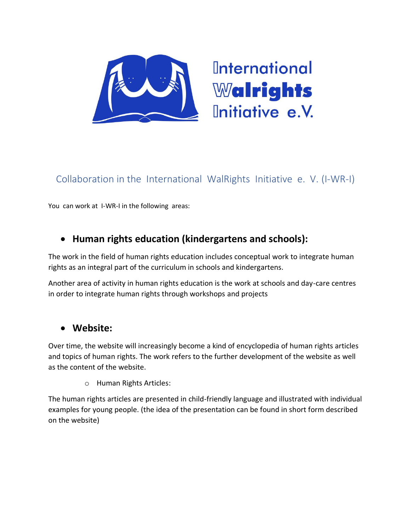

# Collaboration in the International WalRights Initiative e. V. (I-WR-I)

You can work at I-WR-I in the following areas:

### • **Human rights education (kindergartens and schools):**

The work in the field of human rights education includes conceptual work to integrate human rights as an integral part of the curriculum in schools and kindergartens.

Another area of activity in human rights education is the work at schools and day-care centres in order to integrate human rights through workshops and projects

#### • **Website:**

Over time, the website will increasingly become a kind of encyclopedia of human rights articles and topics of human rights. The work refers to the further development of the website as well as the content of the website.

o Human Rights Articles:

The human rights articles are presented in child-friendly language and illustrated with individual examples for young people. (the idea of the presentation can be found in short form described on the website)